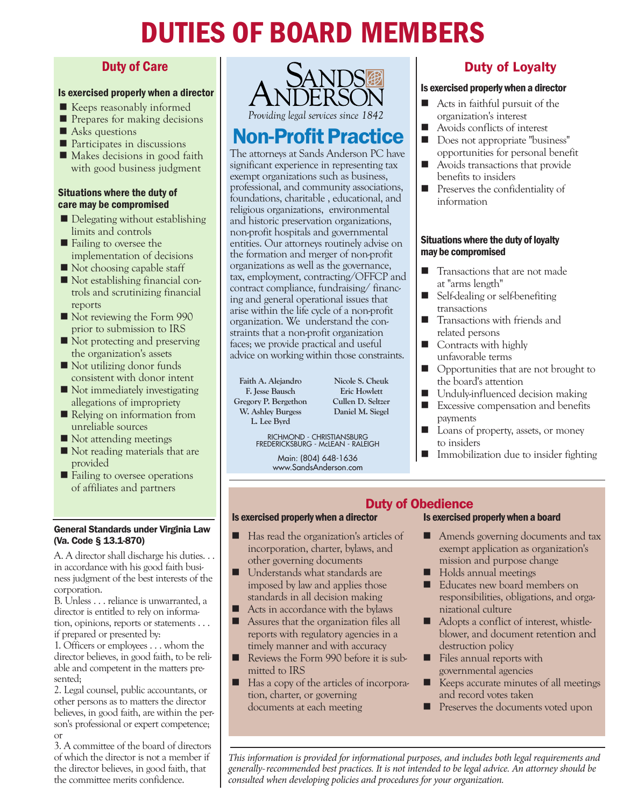# DUTIES OF BOARD MEMBERS

### Duty of Care

### Is exercised properly when a director

- $\blacksquare$  Keeps reasonably informed
- $\blacksquare$  Prepares for making decisions
- $\blacksquare$  Asks questions
- $\blacksquare$  Participates in discussions
- $\blacksquare$  Makes decisions in good faith with good business judgment

### Situations where the duty of care may be compromised

- $\blacksquare$  Delegating without establishing limits and controls
- Failing to oversee the implementation of decisions
- $\blacksquare$  Not choosing capable staff
- Not establishing financial controls and scrutinizing financial reports
- Not reviewing the Form 990 prior to submission to IRS
- Not protecting and preserving the organization's assets
- $\blacksquare$  Not utilizing donor funds consistent with donor intent
- $\blacksquare$  Not immediately investigating allegations of impropriety
- Relying on information from unreliable sources
- Not attending meetings
- Not reading materials that are provided
- Failing to oversee operations of affiliates and partners

#### General Standards under Virginia Law (Va. Code § 13.1-870)

A. A director shall discharge his duties. . . in accordance with his good faith business judgment of the best interests of the corporation.

B. Unless . . . reliance is unwarranted, a director is entitled to rely on information, opinions, reports or statements . . . if prepared or presented by:

1. Officers or employees . . . whom the director believes, in good faith, to be reliable and competent in the matters presented;

2. Legal counsel, public accountants, or other persons as to matters the director believes, in good faith, are within the person's professional or expert competence; or

3. A committee of the board of directors of which the director is not a member if the director believes, in good faith, that the committee merits confidence.



# **Non-Profit Practice**

The attorneys at Sands Anderson PC have significant experience in representing tax exempt organizations such as business, professional, and community associations, foundations, charitable , educational, and religious organizations, environmental and historic preservation organizations, non-profit hospitals and governmental entities. Our attorneys routinely advise on the formation and merger of non-profit organizations as well as the governance, tax, employment, contracting/OFFCP and contract compliance, fundraising/ financing and general operational issues that arise within the life cycle of a non-profit organization. We understand the constraints that a non-profit organization faces; we provide practical and useful advice on working within those constraints.

**Faith A. Alejandro F. Jesse Bausch Gregory P. Bergethon W. Ashley Burgess L. Lee Byrd**

**Nicole S. Cheuk Eric Howlett Cullen D. Seltzer Daniel M. Siegel**

RICHMOND - CHRISTIANSBURG FREDERICKSBURG - McLEAN - RALEIGH

Main: (804) 648-1636 www.SandsAnderson.com

## Duty of Loyalty

### Is exercised properly when a director

- $\blacksquare$  Acts in faithful pursuit of the organization's interest
- $\blacksquare$  Avoids conflicts of interest
- Does not appropriate "business" opportunities for personal benefit
- $\blacksquare$  Avoids transactions that provide benefits to insiders
- $\blacksquare$  Preserves the confidentiality of information

### Situations where the duty of loyalty may be compromised

- $\blacksquare$  Transactions that are not made at "arms length"
- Self-dealing or self-benefiting transactions
- **n** Transactions with friends and related persons
- $\blacksquare$  Contracts with highly unfavorable terms
- **n** Opportunities that are not brought to the board's attention
- Unduly-influenced decision making
- $\blacksquare$  Excessive compensation and benefits payments
- Loans of property, assets, or money to insiders
- Immobilization due to insider fighting

# Is exercised properly when a board

# **Duty of Obedience**<br>Is exercised properly when a director<br>Is exercised p

- $\blacksquare$  Has read the organization's articles of incorporation, charter, bylaws, and other governing documents
- Understands what standards are imposed by law and applies those standards in all decision making
- $\blacksquare$  Acts in accordance with the bylaws
- **n** Assures that the organization files all reports with regulatory agencies in a timely manner and with accuracy
- Reviews the Form 990 before it is submitted to IRS
- Has a copy of the articles of incorporation, charter, or governing documents at each meeting
- Amends governing documents and tax exempt application as organization's mission and purpose change
- Holds annual meetings
- Educates new board members on responsibilities, obligations, and organizational culture
- Adopts a conflict of interest, whistleblower, and document retention and destruction policy
- Files annual reports with governmental agencies
- Keeps accurate minutes of all meetings and record votes taken
- **n** Preserves the documents voted upon

*This information is provided for informational purposes, and includes both legal requirements and generally-recommended best practices. It is not intended to be legal advice. An attorney should be consulted when developing policies and procedures for your organization.*